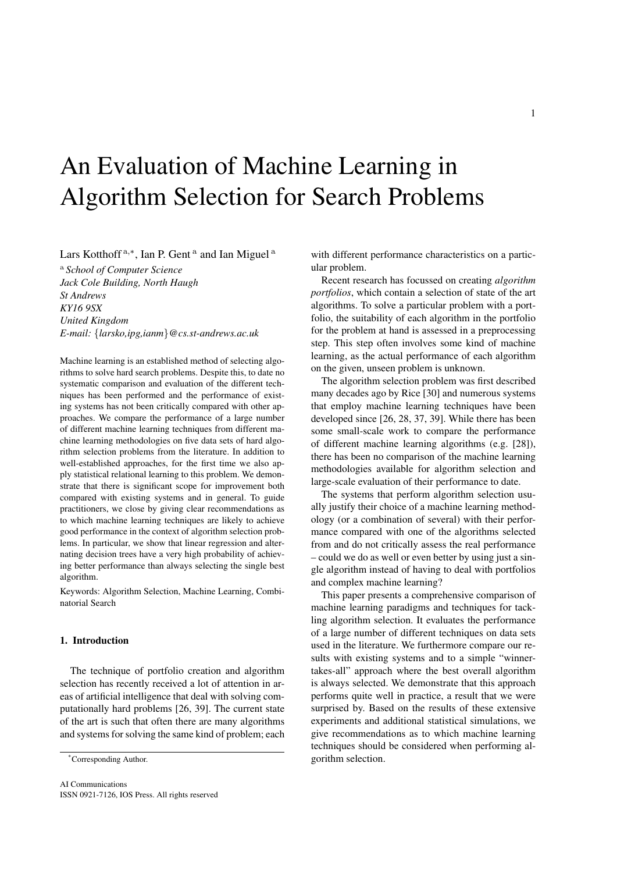# An Evaluation of Machine Learning in Algorithm Selection for Search Problems

Lars Kotthoff<sup>a,\*</sup>, Ian P. Gent<sup>a</sup> and Ian Miguel<sup>a</sup>

<sup>a</sup> *School of Computer Science Jack Cole Building, North Haugh St Andrews KY16 9SX United Kingdom E-mail: {larsko,ipg,ianm}@cs.st-andrews.ac.uk*

Machine learning is an established method of selecting algorithms to solve hard search problems. Despite this, to date no systematic comparison and evaluation of the different techniques has been performed and the performance of existing systems has not been critically compared with other approaches. We compare the performance of a large number of different machine learning techniques from different machine learning methodologies on five data sets of hard algorithm selection problems from the literature. In addition to well-established approaches, for the first time we also apply statistical relational learning to this problem. We demonstrate that there is significant scope for improvement both compared with existing systems and in general. To guide practitioners, we close by giving clear recommendations as to which machine learning techniques are likely to achieve good performance in the context of algorithm selection problems. In particular, we show that linear regression and alternating decision trees have a very high probability of achieving better performance than always selecting the single best algorithm.

Keywords: Algorithm Selection, Machine Learning, Combinatorial Search

# 1. Introduction

The technique of portfolio creation and algorithm selection has recently received a lot of attention in areas of artificial intelligence that deal with solving computationally hard problems [26, 39]. The current state of the art is such that often there are many algorithms and systems for solving the same kind of problem; each with different performance characteristics on a particular problem.

Recent research has focussed on creating *algorithm portfolios*, which contain a selection of state of the art algorithms. To solve a particular problem with a portfolio, the suitability of each algorithm in the portfolio for the problem at hand is assessed in a preprocessing step. This step often involves some kind of machine learning, as the actual performance of each algorithm on the given, unseen problem is unknown.

The algorithm selection problem was first described many decades ago by Rice [30] and numerous systems that employ machine learning techniques have been developed since [26, 28, 37, 39]. While there has been some small-scale work to compare the performance of different machine [learning](#page-13-0) algorithms (e.g. [28]), there has been no comparison of the machine learning methodologies a[vail](#page-13-1)[able](#page-13-2) [fo](#page-14-0)r [al](#page-14-1)gorithm selection and large-scale evaluation of their performance to date.

The systems that perform algorithm selection [us](#page-13-2)ually justify their choice of a machine learning methodology (or a combination of several) with their performance compared with one of the algorithms selected from and do not critically assess the real performance – could we do as well or even better by using just a single algorithm instead of having to deal with portfolios and complex machine learning?

This paper presents a comprehensive comparison of machine learning paradigms and techniques for tackling algorithm selection. It evaluates the performance of a large number of different techniques on data sets used in the literature. We furthermore compare our results with existing systems and to a simple "winnertakes-all" approach where the best overall algorithm is always selected. We demonstrate that this approach performs quite well in practice, a result that we were surprised by. Based on the results of these extensive experiments and additional statistical simulations, we give recommendations as to which machine learning techniques should be considered when performing algorithm selection.

<sup>\*</sup>Corresponding Author.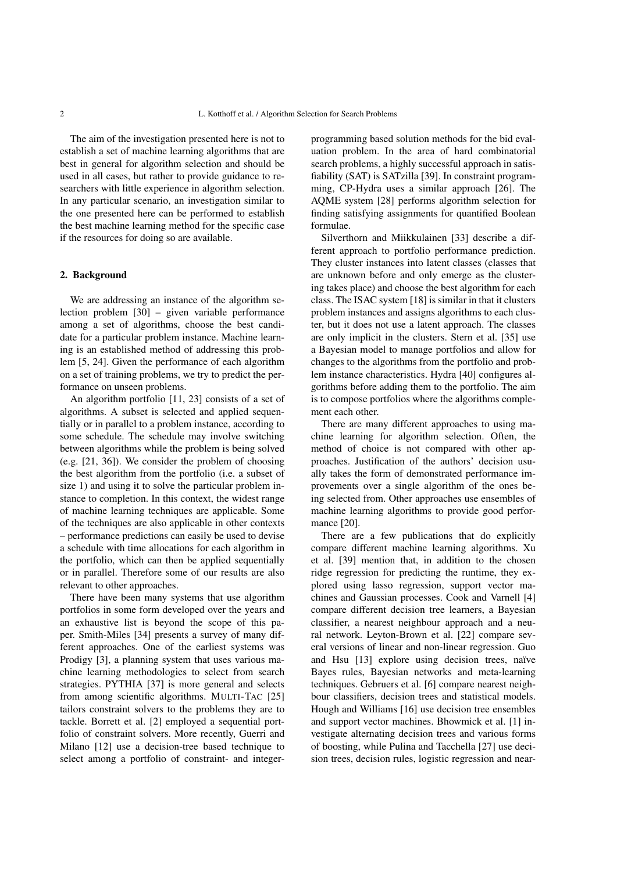The aim of the investigation presented here is not to establish a set of machine learning algorithms that are best in general for algorithm selection and should be used in all cases, but rather to provide guidance to researchers with little experience in algorithm selection. In any particular scenario, an investigation similar to the one presented here can be performed to establish the best machine learning method for the specific case if the resources for doing so are available.

### 2. Background

We are addressing an instance of the algorithm selection problem [30] – given variable performance among a set of algorithms, choose the best candidate for a particular problem instance. Machine learning is an established method of addressing this problem [5, 24]. Give[n th](#page-13-0)e performance of each algorithm on a set of training problems, we try to predict the performance on unseen problems.

An algorithm portfolio [11, 23] consists of a set of algor[ith](#page-13-3)[ms](#page-13-4). A subset is selected and applied sequentially or in parallel to a problem instance, according to some schedule. The schedule may involve switching between algorithms while [the](#page-13-5) [pro](#page-13-6)blem is being solved (e.g. [21, 36]). We consider the problem of choosing the best algorithm from the portfolio (i.e. a subset of size 1) and using it to solve the particular problem instance to completion. In this context, the widest range of ma[chi](#page-13-7)[ne l](#page-14-2)earning techniques are applicable. Some of the techniques are also applicable in other contexts – performance predictions can easily be used to devise a schedule with time allocations for each algorithm in the portfolio, which can then be applied sequentially or in parallel. Therefore some of our results are also relevant to other approaches.

There have been many systems that use algorithm portfolios in some form developed over the years and an exhaustive list is beyond the scope of this paper. Smith-Miles [34] presents a survey of many different approaches. One of the earliest systems was Prodigy [3], a planning system that uses various machine learning methodologies to select from search strat[egies. PYTH](#page-14-3)I[A \[](#page-14-3)37] is more general and selects from among scientific algorithms. MULTI-TAC [25] tailors co[ns](#page-13-8)traint solvers to the problems they are to tackle. Borrett et al. [2] employed a sequential portfolio of constraint so[lve](#page-14-0)rs. More recently, Guerri and Milano [12] use a decision-tree based techniqu[e to](#page-13-9) select among a portfolio of constraint- and integerprogramming based solution methods for the bid evaluation problem. In the area of hard combinatorial search problems, a highly successful approach in satisfiability (SAT) is SATzilla [39]. In constraint programming, CP-Hydra uses a similar approach [26]. The AQME system [28] performs algorithm selection for finding satisfying assignments for quantified Boolean formulae.

Silverthorn and Miikkulainen [33] descri[be](#page-13-1) a different approach [to](#page-13-2) portfolio performance prediction. They cluster instances into latent classes (classes that are unknown before and only emerge as the clusterin[g takes place\) and choose the be](#page-14-4)s[t al](#page-14-4)gorithm for each class. The ISAC system [18] is similar in that it clusters problem instances and assigns algorithms to each cluster, but it does not use a latent approach. The classes are only implicit in the clusters. Stern et al. [35] use a Bayesian model to ma[nag](#page-13-10)e portfolios and allow for changes to the algorithms from the portfolio and problem instance characteristics. Hydra [40] configures algorithms before adding them to t[he portfolio.](#page-14-5) [The](#page-14-5) aim is to compose portfolios where the algorithms complement each other.

There are many different approa[che](#page-14-6)s to using machine learning for algorithm selection. Often, the method of choice is not compared with other approaches. Justification of the authors' decision usually takes the form of demonstrated performance improvements over a single algorithm of the ones being selected from. Other approaches use ensembles of machine learning algorithms to provide good performance [20].

There are a few publications that do explicitly compare different machine learning algorithms. Xu et al. [39] mention that, in addition to the chosen ridge r[egre](#page-13-11)ssion for predicting the runtime, they explored using lasso regression, support vector machines and Gaussian processes. Cook and Varnell [\[4\]](#page-14-1) [comp](#page-14-1)a[re d](#page-14-1)ifferent decision tree learners, a Bayesian classifier, a nearest neighbour approach and a neural network. Leyton-Brown et al. [22] compare several versions of linear and non-l[inear regression.](#page-13-12) G[uo](#page-13-12) and Hsu [13] explore using decision trees, naïve Bayes rules, Bayesian networks and meta-learning techniques. [Gebruers et al.](#page-13-13) [6] com[pare](#page-13-13) nearest neighbour classifiers, decision trees and statistical mo[dels.](#page-13-14) [Hough an](#page-13-14)d [W](#page-13-14)illiams [16] use decision tree ensembles and support vector machines. Bhowmick et al. [1] investigate al[ternating decision](#page-13-15) trees and various forms of boosting, while Pulina and Tacchella [27] use deci[sion trees, decision rules,](#page-13-16) logistic regression and near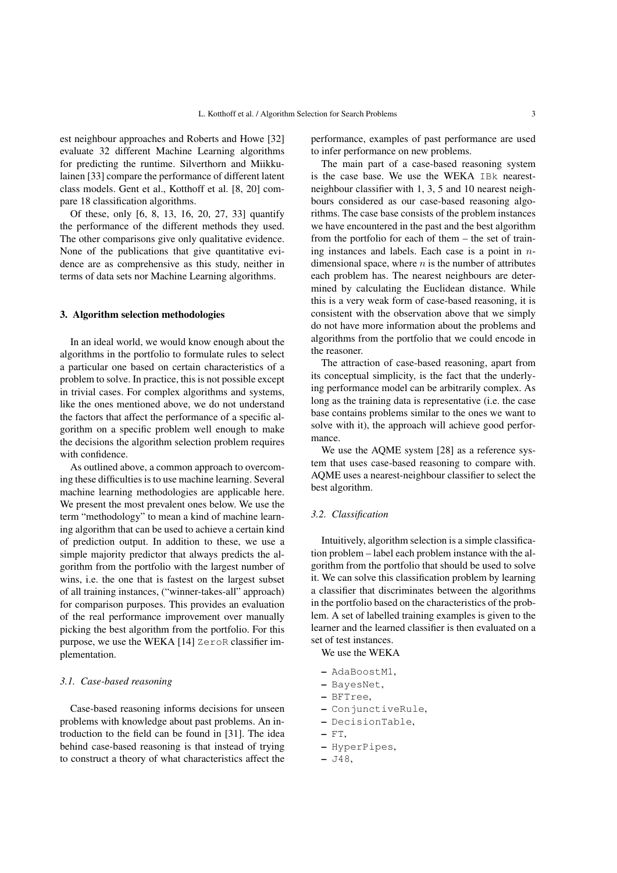est neighbour approaches and Roberts and Howe [32] evaluate 32 different Machine Learning algorithms for predicting the runtime. Silverthorn and Miikkulainen [33] compare the performance of different latent class models. Gent et al., Kot[thoff et al.](#page-14-7) [8, 20] c[om](#page-14-7)pare 18 classification algorithms.

Of these, only [6, 8, 13, 16, 20, 27, [33\] quantify](#page-14-4) [the pe](#page-14-4)r[for](#page-14-4)mance of the different methods they used. The other co[mparisons gi](#page-13-17)[ve only qualitat](#page-13-11)i[ve](#page-13-17) [evi](#page-13-11)dence. None of the publications that give quantitative evidence are as com[pre](#page-13-15)[he](#page-13-17)n[siv](#page-13-14)e [as](#page-13-16) [this](#page-13-11) [stu](#page-13-18)[dy,](#page-14-4) neither in terms of data sets nor Machine Learning algorithms.

#### 3. Algorithm selection methodologies

In an ideal world, we would know enough about the algorithms in the portfolio to formulate rules to select a particular one based on certain characteristics of a problem to solve. In practice, this is not possible except in trivial cases. For complex algorithms and systems, like the ones mentioned above, we do not understand the factors that affect the performance of a specific algorithm on a specific problem well enough to make the decisions the algorithm selection problem requires with confidence.

As outlined above, a common approach to overcoming these difficulties is to use machine learning. Several machine learning methodologies are applicable here. We present the most prevalent ones below. We use the term "methodology" to mean a kind of machine learning algorithm that can be used to achieve a certain kind of prediction output. In addition to these, we use a simple majority predictor that always predicts the algorithm from the portfolio with the largest number of wins, i.e. the one that is fastest on the largest subset of all training instances, ("winner-takes-all" approach) for comparison purposes. This provides an evaluation of the real performance improvement over manually picking the best algorithm from the portfolio. For this purpose, we use the WEKA [14] ZeroR classifier implementation.

#### *3.1. Case-based reasoning*

Case-based reasoning informs decisions for unseen problems with knowledge about past problems. An introduction to the field can be found in [31]. The idea behind case-based reasoning is that instead of trying to construct a theory of what characteristics affect the performance, examples of past performance are used to infer performance on new problems.

The main part of a case-based reasoning system is the case base. We use the WEKA IBk nearestneighbour classifier with 1, 3, 5 and 10 nearest neighbours considered as our case-based reasoning algorithms. The case base consists of the problem instances we have encountered in the past and the best algorithm from the portfolio for each of them – the set of training instances and labels. Each case is a point in *n*dimensional space, where *n* is the number of attributes each problem has. The nearest neighbours are determined by calculating the Euclidean distance. While this is a very weak form of case-based reasoning, it is consistent with the observation above that we simply do not have more information about the problems and algorithms from the portfolio that we could encode in the reasoner.

The attraction of case-based reasoning, apart from its conceptual simplicity, is the fact that the underlying performance model can be arbitrarily complex. As long as the training data is representative (i.e. the case base contains problems similar to the ones we want to solve with it), the approach will achieve good performance.

We use the AQME system [28] as a reference system that uses case-based reasoning to compare with. AQME uses a nearest-neighbour classifier to select the best algorithm.

# *3.2. Classification*

Intuitively, algorithm selection is a simple classification problem – label each problem instance with the algorithm from the portfolio that should be used to solve it. We can solve this classification problem by learning a classifier that discriminates between the algorithms in the portfolio based on the characteristics of the problem. A set of labelled training examples is given to the learner and the learned classifier is then evaluated on a set of test instances.

We use the WEKA

- AdaBoostM1,
- BayesNet,
- BFTree,
- ConjunctiveRule,
- DecisionTable,
- FT,
- HyperPipes,
- J48,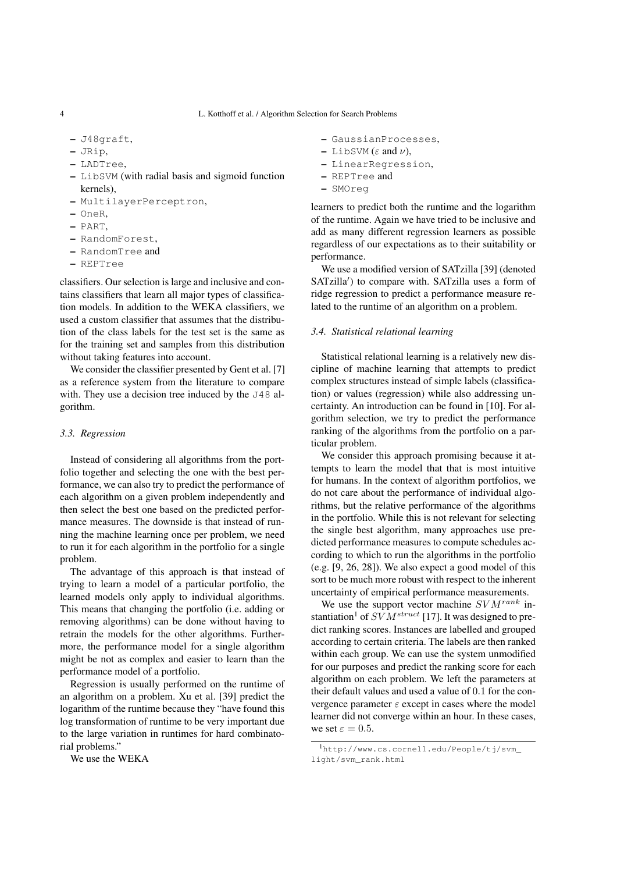- J48graft,
- JRip,
- LADTree,
- LibSVM (with radial basis and sigmoid function kernels),
- MultilayerPerceptron,
- OneR,
- PART,
- RandomForest,
- RandomTree and
- REPTree

classifiers. Our selection is large and inclusive and contains classifiers that learn all major types of classification models. In addition to the WEKA classifiers, we used a custom classifier that assumes that the distribution of the class labels for the test set is the same as for the training set and samples from this distribution without taking features into account.

We consider the classifier presented by Gent et al. [7] as a reference system from the literature to compare with. They use a decision tree induced by the J48 algorithm.

# *3.3. Regression*

Instead of considering all algorithms from the portfolio together and selecting the one with the best performance, we can also try to predict the performance of each algorithm on a given problem independently and then select the best one based on the predicted performance measures. The downside is that instead of running the machine learning once per problem, we need to run it for each algorithm in the portfolio for a single problem.

The advantage of this approach is that instead of trying to learn a model of a particular portfolio, the learned models only apply to individual algorithms. This means that changing the portfolio (i.e. adding or removing algorithms) can be done without having to retrain the models for the other algorithms. Furthermore, the performance model for a single algorithm might be not as complex and easier to learn than the performance model of a portfolio.

Regression is usually performed on the runtime of an algorithm on a problem. Xu et al. [39] predict the logarithm of the runtime because they "have found this log transformation of runtime to be very important due to the large variation in runtimes for hard combinatorial problems."

We use the WEKA

- GaussianProcesses,
- LibSVM (*ε* and *ν*),
- LinearRegression,
- REPTree and
- SMOreg

learners to predict both the runtime and the logarithm of the runtime. Again we have tried to be inclusive and add as many different regression learners as possible regardless of our expectations as to their suitability or performance.

We use a modified version of SATzilla [39] (denoted SATzilla*′* ) to compare with. SATzilla uses a form of ridge regression to predict a performance measure related to the runtime of an algorithm on a problem.

# *3.4. Statistical relational learning*

Statistical relational learning is a relatively new discipline of machine learning that attempts to predict complex structures instead of simple labels (classification) or values (regression) while also addressing uncertainty. An introduction can be found in [10]. For algorithm selection, we try to predict the performance ranking of the algorithms from the portfolio on a particular problem.

We consider this approach promising b[ecau](#page-13-19)se it attempts to learn the model that that is most intuitive for humans. In the context of algorithm portfolios, we do not care about the performance of individual algorithms, but the relative performance of the algorithms in the portfolio. While this is not relevant for selecting the single best algorithm, many approaches use predicted performance measures to compute schedules according to which to run the algorithms in the portfolio (e.g. [9, 26, 28]). We also expect a good model of this sort to be much more robust with respect to the inherent uncertainty of empirical performance measurements.

We use the support vector machine *SV Mrank* instanti[ati](#page-13-20)[on](#page-13-1)<sup>1</sup> [of](#page-13-2) *SVM*<sup>struct</sup> [17]. It was designed to predict ranking scores. Instances are labelled and grouped according to certain criteria. The labels are then ranked within each group. We can use the system unmodified for our pu[rp](#page-3-0)oses and predic[t th](#page-13-21)e ranking score for each algorithm on each problem. We left the parameters at their default values and used a value of 0*.*1 for the convergence parameter  $\varepsilon$  except in cases where the model learner did not converge within an hour. In these cases, we set  $\varepsilon = 0.5$ .

<sup>4</sup> L. Kotthoff et al. / Algorithm Selection for Search Problems

<span id="page-3-0"></span><sup>1</sup>http://www.cs.cornell.edu/People/tj/svm\_ light/svm\_rank.html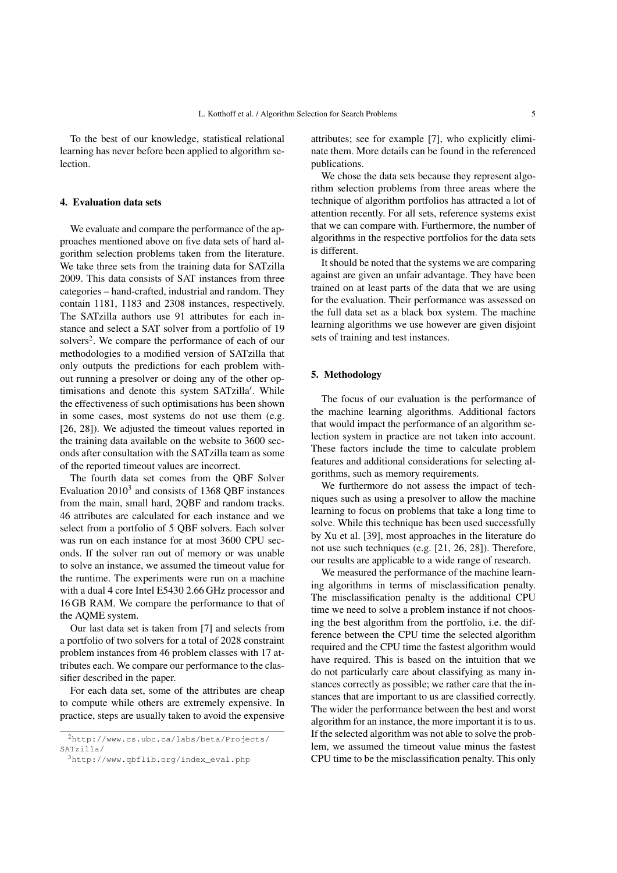To the best of our knowledge, statistical relational learning has never before been applied to algorithm selection.

### 4. Evaluation data sets

We evaluate and compare the performance of the approaches mentioned above on five data sets of hard algorithm selection problems taken from the literature. We take three sets from the training data for SATzilla 2009. This data consists of SAT instances from three categories – hand-crafted, industrial and random. They contain 1181, 1183 and 2308 instances, respectively. The SATzilla authors use 91 attributes for each instance and select a SAT solver from a portfolio of 19 solvers<sup>2</sup>. We compare the performance of each of our methodologies to a modified version of SATzilla that only outputs the predictions for each problem without running a presolver or doing any of the other optimisat[io](#page-4-0)ns and denote this system SATzilla*′* . While the effectiveness of such optimisations has been shown in some cases, most systems do not use them (e.g. [26, 28]). We adjusted the timeout values reported in the training data available on the website to 3600 seconds after consultation with the SATzilla team as some of the reported timeout values are incorrect.

[T](#page-13-1)[he](#page-13-2) fourth data set comes from the QBF Solver Evaluation  $2010<sup>3</sup>$  and consists of 1368 QBF instances from the main, small hard, 2QBF and random tracks. 46 attributes are calculated for each instance and we select from a portfolio of 5 QBF solvers. Each solver was run on eac[h](#page-4-1) instance for at most 3600 CPU seconds. If the solver ran out of memory or was unable to solve an instance, we assumed the timeout value for the runtime. The experiments were run on a machine with a dual 4 core Intel E5430 2.66 GHz processor and 16 GB RAM. We compare the performance to that of the AQME system.

Our last data set is taken from [7] and selects from a portfolio of two solvers for a total of 2028 constraint problem instances from 46 problem classes with 17 attributes each. We compare our performance to the classifier described in the paper.

For each data set, some of the attributes are cheap to compute while others are extremely expensive. In practice, steps are usually taken to avoid the expensive attributes; see for example [7], who explicitly eliminate them. More details can be found in the referenced publications.

We chose the data sets because they represent algorithm selection problems fr[om](#page-13-22) three areas where the technique of algorithm portfolios has attracted a lot of attention recently. For all sets, reference systems exist that we can compare with. Furthermore, the number of algorithms in the respective portfolios for the data sets is different.

It should be noted that the systems we are comparing against are given an unfair advantage. They have been trained on at least parts of the data that we are using for the evaluation. Their performance was assessed on the full data set as a black box system. The machine learning algorithms we use however are given disjoint sets of training and test instances.

#### 5. Methodology

The focus of our evaluation is the performance of the machine learning algorithms. Additional factors that would impact the performance of an algorithm selection system in practice are not taken into account. These factors include the time to calculate problem features and additional considerations for selecting algorithms, such as memory requirements.

We furthermore do not assess the impact of techniques such as using a presolver to allow the machine learning to focus on problems that take a long time to solve. While this technique has been used successfully by Xu et al. [39], most approaches in the literature do not use such techniques (e.g. [21, 26, 28]). Therefore, our results are applicable to a wide range of research.

We measured the performance of the machine learning [algorithms](#page-14-1) in terms of misclassification penalty. The misclassification penalty [is](#page-13-7) [the](#page-13-1) [add](#page-13-2)itional CPU time we need to solve a problem instance if not choosing the best algorithm from the portfolio, i.e. the difference between the CPU time the selected algorithm required and the CPU time the fastest algorithm would have required. This is based on the intuition that we do not particularly care about classifying as many instances correctly as possible; we rather care that the instances that are important to us are classified correctly. The wider the performance between the best and worst algorithm for an instance, the more important it is to us. If the selected algorithm was not able to solve the problem, we assumed the timeout value minus the fastest CPU time to be the misclassification penalty. This only

<sup>2</sup>http://www.cs.ubc.ca/labs/beta/Projects/ SATzilla/

<span id="page-4-1"></span><span id="page-4-0"></span><sup>3</sup>http://www.qbflib.org/index\_eval.php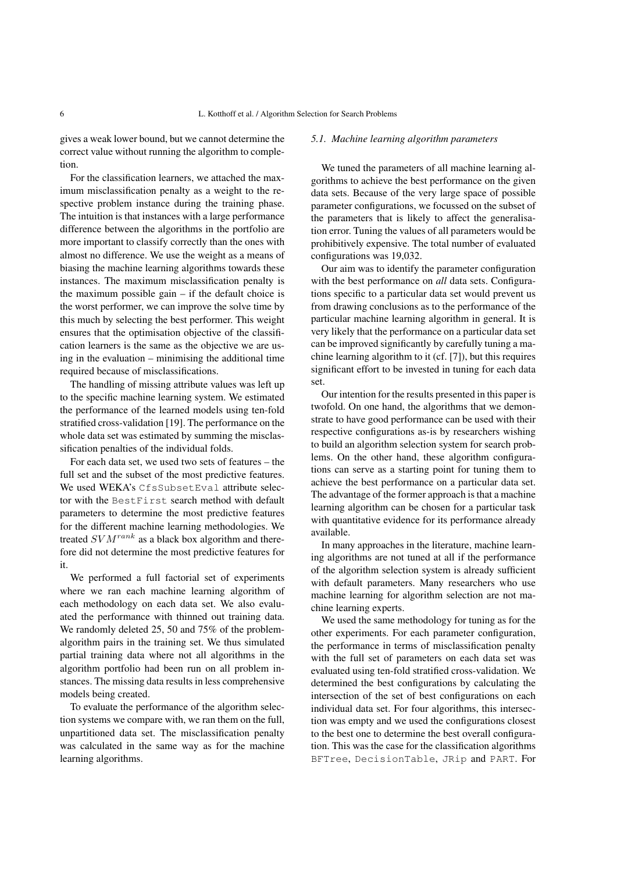gives a weak lower bound, but we cannot determine the correct value without running the algorithm to completion.

For the classification learners, we attached the maximum misclassification penalty as a weight to the respective problem instance during the training phase. The intuition is that instances with a large performance difference between the algorithms in the portfolio are more important to classify correctly than the ones with almost no difference. We use the weight as a means of biasing the machine learning algorithms towards these instances. The maximum misclassification penalty is the maximum possible gain – if the default choice is the worst performer, we can improve the solve time by this much by selecting the best performer. This weight ensures that the optimisation objective of the classification learners is the same as the objective we are using in the evaluation – minimising the additional time required because of misclassifications.

The handling of missing attribute values was left up to the specific machine learning system. We estimated the performance of the learned models using ten-fold stratified cross-validation [19]. The performance on the whole data set was estimated by summing the misclassification penalties of the individual folds.

For each data set, we used two sets of features – the full set and the subset of [the](#page-13-23) most predictive features. We used WEKA's CfsSubsetEval attribute selector with the BestFirst search method with default parameters to determine the most predictive features for the different machine learning methodologies. We treated *SV Mrank* as a black box algorithm and therefore did not determine the most predictive features for it.

We performed a full factorial set of experiments where we ran each machine learning algorithm of each methodology on each data set. We also evaluated the performance with thinned out training data. We randomly deleted 25, 50 and 75% of the problemalgorithm pairs in the training set. We thus simulated partial training data where not all algorithms in the algorithm portfolio had been run on all problem instances. The missing data results in less comprehensive models being created.

To evaluate the performance of the algorithm selection systems we compare with, we ran them on the full, unpartitioned data set. The misclassification penalty was calculated in the same way as for the machine learning algorithms.

#### *5.1. Machine learning algorithm parameters*

We tuned the parameters of all machine learning algorithms to achieve the best performance on the given data sets. Because of the very large space of possible parameter configurations, we focussed on the subset of the parameters that is likely to affect the generalisation error. Tuning the values of all parameters would be prohibitively expensive. The total number of evaluated configurations was 19,032.

Our aim was to identify the parameter configuration with the best performance on *all* data sets. Configurations specific to a particular data set would prevent us from drawing conclusions as to the performance of the particular machine learning algorithm in general. It is very likely that the performance on a particular data set can be improved significantly by carefully tuning a machine learning algorithm to it (cf. [7]), but this requires significant effort to be invested in tuning for each data set.

Our intention for the results presented in this paper is twofold. On one hand, the algorit[hm](#page-13-22)s that we demonstrate to have good performance can be used with their respective configurations as-is by researchers wishing to build an algorithm selection system for search problems. On the other hand, these algorithm configurations can serve as a starting point for tuning them to achieve the best performance on a particular data set. The advantage of the former approach is that a machine learning algorithm can be chosen for a particular task with quantitative evidence for its performance already available.

In many approaches in the literature, machine learning algorithms are not tuned at all if the performance of the algorithm selection system is already sufficient with default parameters. Many researchers who use machine learning for algorithm selection are not machine learning experts.

We used the same methodology for tuning as for the other experiments. For each parameter configuration, the performance in terms of misclassification penalty with the full set of parameters on each data set was evaluated using ten-fold stratified cross-validation. We determined the best configurations by calculating the intersection of the set of best configurations on each individual data set. For four algorithms, this intersection was empty and we used the configurations closest to the best one to determine the best overall configuration. This was the case for the classification algorithms BFTree, DecisionTable, JRip and PART. For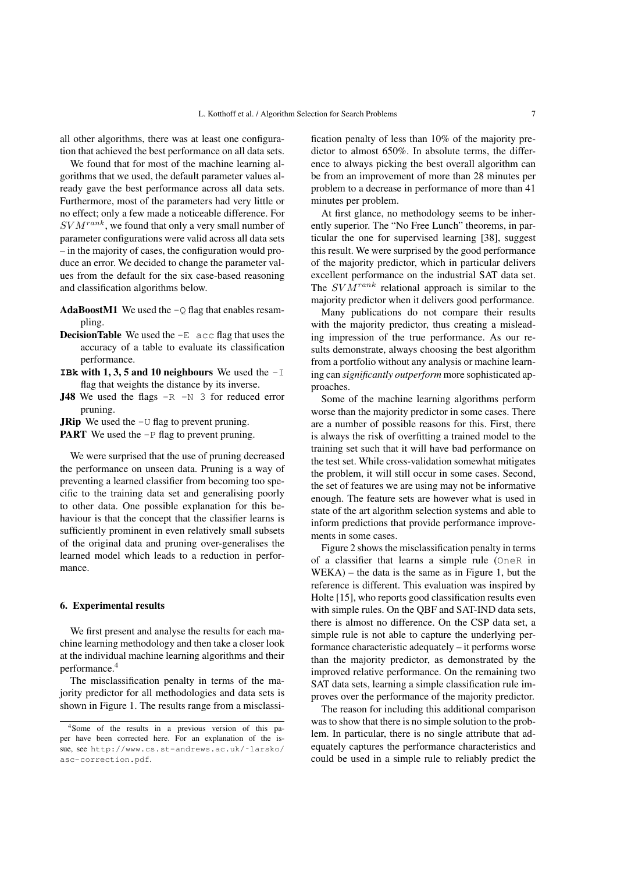all other algorithms, there was at least one configuration that achieved the best performance on all data sets.

We found that for most of the machine learning algorithms that we used, the default parameter values already gave the best performance across all data sets. Furthermore, most of the parameters had very little or no effect; only a few made a noticeable difference. For *SV Mrank*, we found that only a very small number of parameter configurations were valid across all data sets – in the majority of cases, the configuration would produce an error. We decided to change the parameter values from the default for the six case-based reasoning and classification algorithms below.

- AdaBoostM1 We used the  $-\circ$  flag that enables resampling.
- **DecisionTable** We used the  $-E$  acc flag that uses the accuracy of a table to evaluate its classification performance.
- **IBk** with 1, 3, 5 and 10 neighbours We used the  $-I$ flag that weights the distance by its inverse.
- **J48** We used the flags  $-R$  -N 3 for reduced error pruning.

**JRip** We used the  $-U$  flag to prevent pruning.

**PART** We used the  $-P$  flag to prevent pruning.

We were surprised that the use of pruning decreased the performance on unseen data. Pruning is a way of preventing a learned classifier from becoming too specific to the training data set and generalising poorly to other data. One possible explanation for this behaviour is that the concept that the classifier learns is sufficiently prominent in even relatively small subsets of the original data and pruning over-generalises the learned model which leads to a reduction in performance.

#### 6. Experimental results

We first present and analyse the results for each machine learning methodology and then take a closer look at the individual machine learning algorithms and their performance.<sup>4</sup>

The misclassification penalty in terms of the majority predictor for all methodologies and data sets is shown in Figure 1. The results range from a misclassification penalty of less than 10% of the majority predictor to almost 650%. In absolute terms, the difference to always picking the best overall algorithm can be from an improvement of more than 28 minutes per problem to a decrease in performance of more than 41 minutes per problem.

At first glance, no methodology seems to be inherently superior. The "No Free Lunch" theorems, in particular the one for supervised learning [38], suggest this result. We were surprised by the good performance of the majority predictor, which in particular delivers excellent performance on the industrial SAT data set. The *SV Mrank* relational approach is s[imi](#page-14-8)lar to the majority predictor when it delivers good performance.

Many publications do not compare their results with the majority predictor, thus creating a misleading impression of the true performance. As our results demonstrate, always choosing the best algorithm from a portfolio without any analysis or machine learning can *significantly outperform* more sophisticated approaches.

Some of the machine learning algorithms perform worse than the majority predictor in some cases. There are a number of possible reasons for this. First, there is always the risk of overfitting a trained model to the training set such that it will have bad performance on the test set. While cross-validation somewhat mitigates the problem, it will still occur in some cases. Second, the set of features we are using may not be informative enough. The feature sets are however what is used in state of the art algorithm selection systems and able to inform predictions that provide performance improvements in some cases.

Figure 2 shows the misclassification penalty in terms of a classifier that learns a simple rule (OneR in  $WEKA$ ) – the data is the same as in Figure 1, but the reference is different. This evaluation was inspired by Holte [15[\],](#page-7-1) who reports good classification results even with simple rules. On the QBF and SAT-IND data sets, there is almost no difference. On the CSP [da](#page-7-0)ta set, a simple rule is not able to capture the underlying per[formance](#page-13-24) characteristic adequately – it performs worse than the majority predictor, as demonstrated by the improved relative performance. On the remaining two SAT data sets, learning a simple classification rule improves over the performance of the majority predictor.

The reason for including this additional comparison was to show that there is no simple solution to the problem. In particular, there is no single attribute that adequately captures the performance characteristics and could be used in a simple rule to reliably predict the

<sup>4</sup>Some of the results in a previous version of this paper have been corrected here. For an explanation of the issue, see http://www.cs.st-andrews.ac.uk/˜larsko/ asc-correctio[n.](#page-7-0)pdf.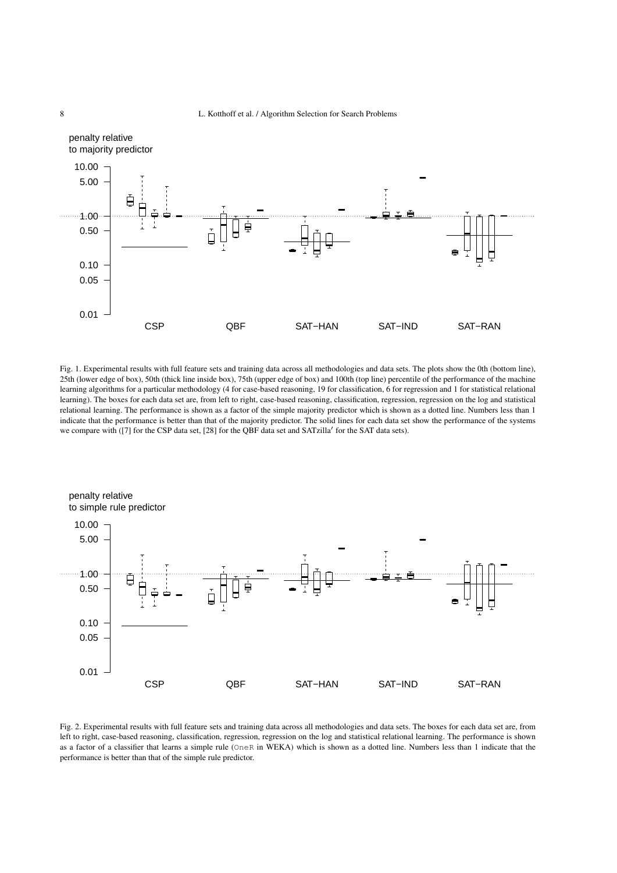

<span id="page-7-0"></span>Fig. 1. Experimental results with full feature sets and training data across all methodologies and data sets. The plots show the 0th (bottom line), 25th (lower edge of box), 50th (thick line inside box), 75th (upper edge of box) and 100th (top line) percentile of the performance of the machine learning algorithms for a particular methodology (4 for case-based reasoning, 19 for classification, 6 for regression and 1 for statistical relational learning). The boxes for each data set are, from left to right, case-based reasoning, classification, regression, regression on the log and statistical relational learning. The performance is shown as a factor of the simple majority predictor which is shown as a dotted line. Numbers less than 1 indicate that the performance is better than that of the majority predictor. The solid lines for each data set show the performance of the systems we compare with ([7] for the CSP data set, [28] for the QBF data set and SATzilla*′* for the SAT data sets).



<span id="page-7-1"></span>Fig. 2. Experimental results with full feature sets and training data across all methodologies and data sets. The boxes for each data set are, from left to right, case-based reasoning, classification, regression, regression on the log and statistical relational learning. The performance is shown as a factor of a classifier that learns a simple rule (OneR in WEKA) which is shown as a dotted line. Numbers less than 1 indicate that the performance is better than that of the simple rule predictor.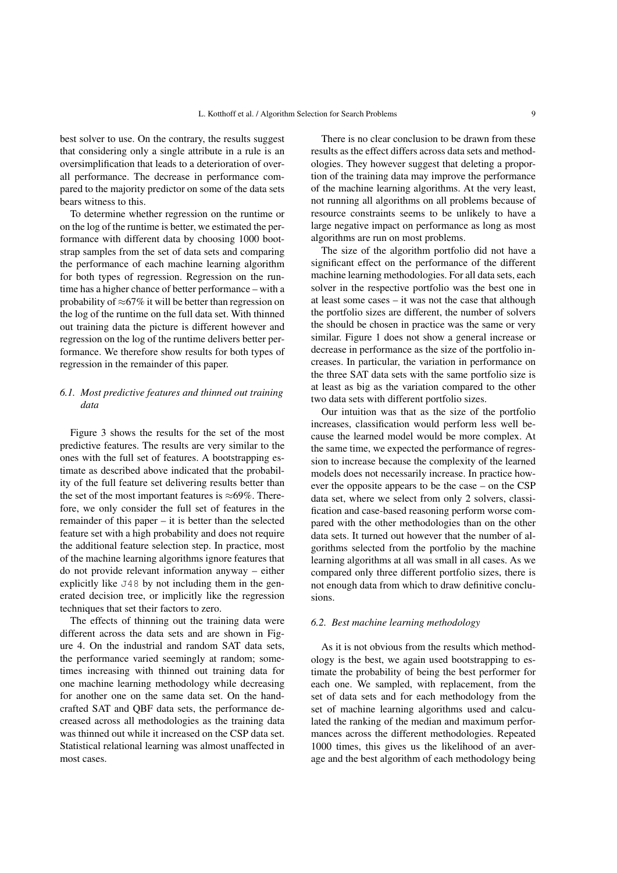best solver to use. On the contrary, the results suggest that considering only a single attribute in a rule is an oversimplification that leads to a deterioration of overall performance. The decrease in performance compared to the majority predictor on some of the data sets bears witness to this.

To determine whether regression on the runtime or on the log of the runtime is better, we estimated the performance with different data by choosing 1000 bootstrap samples from the set of data sets and comparing the performance of each machine learning algorithm for both types of regression. Regression on the runtime has a higher chance of better performance – with a probability of *≈*67% it will be better than regression on the log of the runtime on the full data set. With thinned out training data the picture is different however and regression on the log of the runtime delivers better performance. We therefore show results for both types of regression in the remainder of this paper.

# *6.1. Most predictive features and thinned out training data*

Figure 3 shows the results for the set of the most predictive features. The results are very similar to the ones with the full set of features. A bootstrapping estimate as described above indicated that the probability of the [fu](#page-9-0)ll feature set delivering results better than the set of the most important features is *≈*69%. Therefore, we only consider the full set of features in the remainder of this paper – it is better than the selected feature set with a high probability and does not require the additional feature selection step. In practice, most of the machine learning algorithms ignore features that do not provide relevant information anyway – either explicitly like J48 by not including them in the generated decision tree, or implicitly like the regression techniques that set their factors to zero.

The effects of thinning out the training data were different across the data sets and are shown in Figure 4. On the industrial and random SAT data sets, the performance varied seemingly at random; sometimes increasing with thinned out training data for one machine learning methodology while decreasing for [an](#page-9-1)other one on the same data set. On the handcrafted SAT and QBF data sets, the performance decreased across all methodologies as the training data was thinned out while it increased on the CSP data set. Statistical relational learning was almost unaffected in most cases.

There is no clear conclusion to be drawn from these results as the effect differs across data sets and methodologies. They however suggest that deleting a proportion of the training data may improve the performance of the machine learning algorithms. At the very least, not running all algorithms on all problems because of resource constraints seems to be unlikely to have a large negative impact on performance as long as most algorithms are run on most problems.

The size of the algorithm portfolio did not have a significant effect on the performance of the different machine learning methodologies. For all data sets, each solver in the respective portfolio was the best one in at least some cases – it was not the case that although the portfolio sizes are different, the number of solvers the should be chosen in practice was the same or very similar. Figure 1 does not show a general increase or decrease in performance as the size of the portfolio increases. In particular, the variation in performance on the three SAT data sets with the same portfolio size is at least as big [as](#page-7-0) the variation compared to the other two data sets with different portfolio sizes.

Our intuition was that as the size of the portfolio increases, classification would perform less well because the learned model would be more complex. At the same time, we expected the performance of regression to increase because the complexity of the learned models does not necessarily increase. In practice however the opposite appears to be the case – on the CSP data set, where we select from only 2 solvers, classification and case-based reasoning perform worse compared with the other methodologies than on the other data sets. It turned out however that the number of algorithms selected from the portfolio by the machine learning algorithms at all was small in all cases. As we compared only three different portfolio sizes, there is not enough data from which to draw definitive conclusions.

### *6.2. Best machine learning methodology*

As it is not obvious from the results which methodology is the best, we again used bootstrapping to estimate the probability of being the best performer for each one. We sampled, with replacement, from the set of data sets and for each methodology from the set of machine learning algorithms used and calculated the ranking of the median and maximum performances across the different methodologies. Repeated 1000 times, this gives us the likelihood of an average and the best algorithm of each methodology being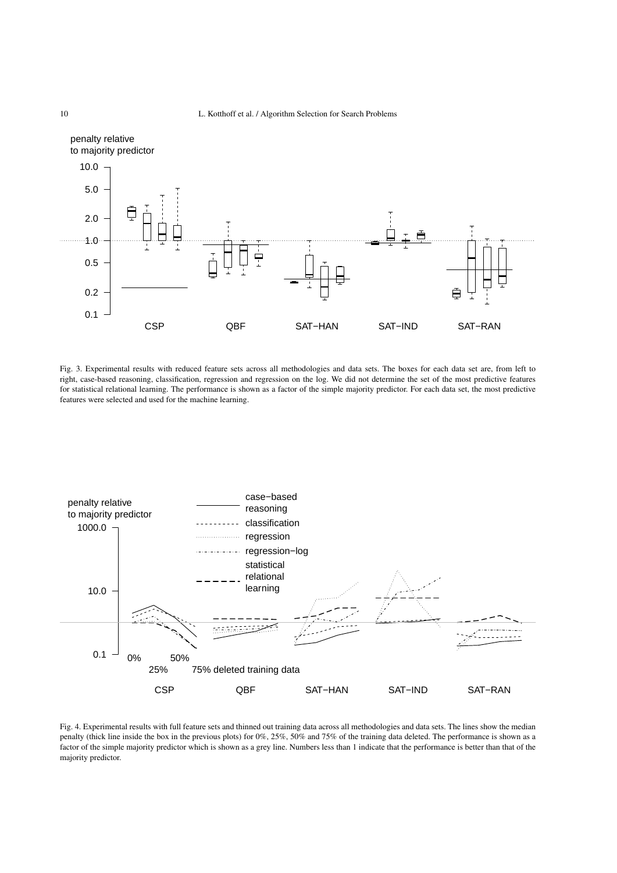#### 10 L. Kotthoff et al. / Algorithm Selection for Search Problems



<span id="page-9-0"></span>Fig. 3. Experimental results with reduced feature sets across all methodologies and data sets. The boxes for each data set are, from left to right, case-based reasoning, classification, regression and regression on the log. We did not determine the set of the most predictive features for statistical relational learning. The performance is shown as a factor of the simple majority predictor. For each data set, the most predictive features were selected and used for the machine learning.



<span id="page-9-1"></span>Fig. 4. Experimental results with full feature sets and thinned out training data across all methodologies and data sets. The lines show the median penalty (thick line inside the box in the previous plots) for 0%, 25%, 50% and 75% of the training data deleted. The performance is shown as a factor of the simple majority predictor which is shown as a grey line. Numbers less than 1 indicate that the performance is better than that of the majority predictor.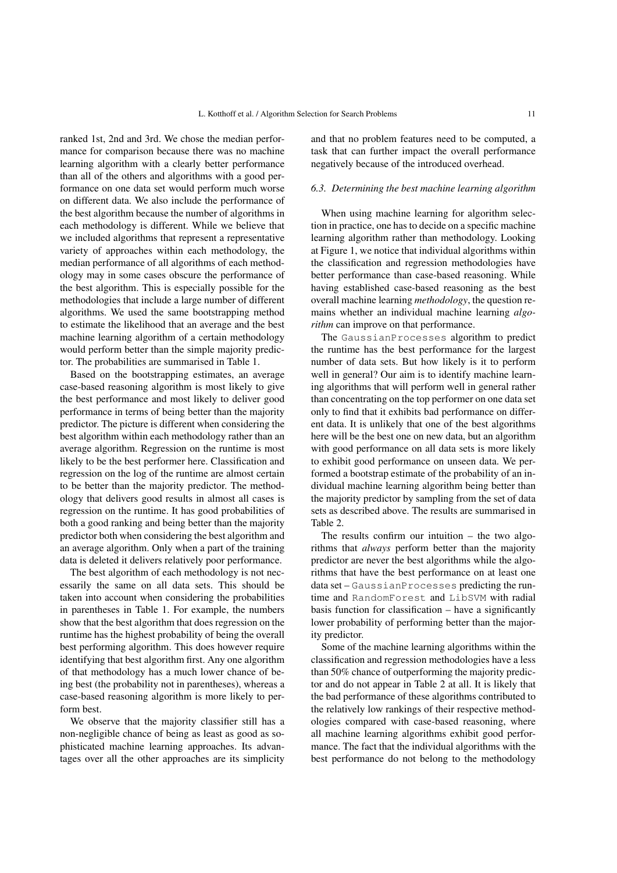ranked 1st, 2nd and 3rd. We chose the median performance for comparison because there was no machine learning algorithm with a clearly better performance than all of the others and algorithms with a good performance on one data set would perform much worse on different data. We also include the performance of the best algorithm because the number of algorithms in each methodology is different. While we believe that we included algorithms that represent a representative variety of approaches within each methodology, the median performance of all algorithms of each methodology may in some cases obscure the performance of the best algorithm. This is especially possible for the methodologies that include a large number of different algorithms. We used the same bootstrapping method to estimate the likelihood that an average and the best machine learning algorithm of a certain methodology would perform better than the simple majority predictor. The probabilities are summarised in Table 1.

Based on the bootstrapping estimates, an average case-based reasoning algorithm is most likely to give the best performance and most likely to deliver good performance in terms of being better than the [ma](#page-11-0)jority predictor. The picture is different when considering the best algorithm within each methodology rather than an average algorithm. Regression on the runtime is most likely to be the best performer here. Classification and regression on the log of the runtime are almost certain to be better than the majority predictor. The methodology that delivers good results in almost all cases is regression on the runtime. It has good probabilities of both a good ranking and being better than the majority predictor both when considering the best algorithm and an average algorithm. Only when a part of the training data is deleted it delivers relatively poor performance.

The best algorithm of each methodology is not necessarily the same on all data sets. This should be taken into account when considering the probabilities in parentheses in Table 1. For example, the numbers show that the best algorithm that does regression on the runtime has the highest probability of being the overall best performing algorithm. This does however require identifying that best alg[ori](#page-11-0)thm first. Any one algorithm of that methodology has a much lower chance of being best (the probability not in parentheses), whereas a case-based reasoning algorithm is more likely to perform best.

We observe that the majority classifier still has a non-negligible chance of being as least as good as sophisticated machine learning approaches. Its advantages over all the other approaches are its simplicity and that no problem features need to be computed, a task that can further impact the overall performance negatively because of the introduced overhead.

### *6.3. Determining the best machine learning algorithm*

When using machine learning for algorithm selection in practice, one has to decide on a specific machine learning algorithm rather than methodology. Looking at Figure 1, we notice that individual algorithms within the classification and regression methodologies have better performance than case-based reasoning. While having established case-based reasoning as the best overall m[ac](#page-7-0)hine learning *methodology*, the question remains whether an individual machine learning *algorithm* can improve on that performance.

The GaussianProcesses algorithm to predict the runtime has the best performance for the largest number of data sets. But how likely is it to perform well in general? Our aim is to identify machine learning algorithms that will perform well in general rather than concentrating on the top performer on one data set only to find that it exhibits bad performance on different data. It is unlikely that one of the best algorithms here will be the best one on new data, but an algorithm with good performance on all data sets is more likely to exhibit good performance on unseen data. We performed a bootstrap estimate of the probability of an individual machine learning algorithm being better than the majority predictor by sampling from the set of data sets as described above. The results are summarised in Table 2.

The results confirm our intuition  $-$  the two algorithms that *always* perform better than the majority predictor are never the best algorithms while the algorithm[s t](#page-12-0)hat have the best performance on at least one data set – GaussianProcesses predicting the runtime and RandomForest and LibSVM with radial basis function for classification – have a significantly lower probability of performing better than the majority predictor.

Some of the machine learning algorithms within the classification and regression methodologies have a less than 50% chance of outperforming the majority predictor and do not appear in Table 2 at all. It is likely that the bad performance of these algorithms contributed to the relatively low rankings of their respective methodologies compared with case-based reasoning, where all machine learning algorith[ms](#page-12-0) exhibit good performance. The fact that the individual algorithms with the best performance do not belong to the methodology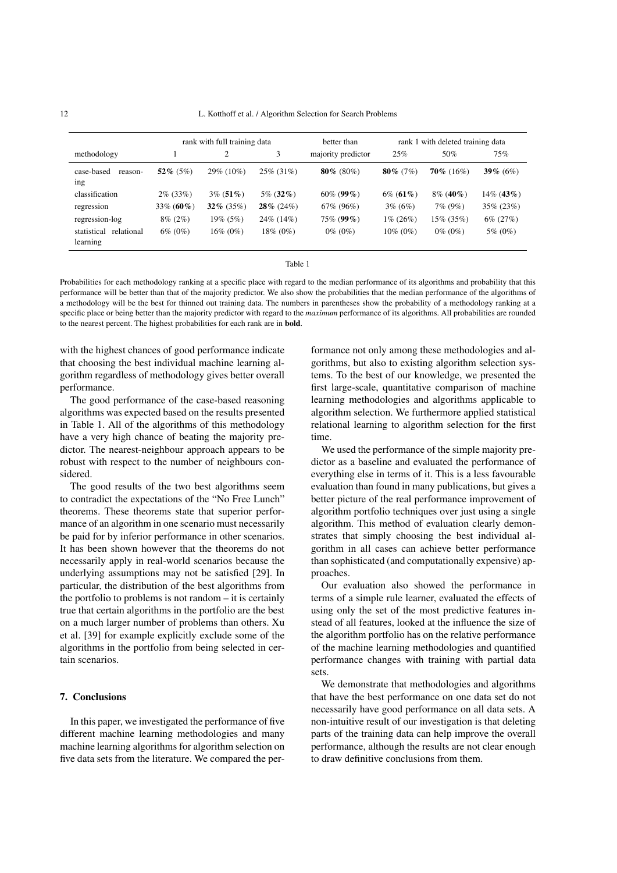12 L. Kotthoff et al. / Algorithm Selection for Search Problems

|                                       | rank with full training data |              |              | better than        | rank 1 with deleted training data |              |              |
|---------------------------------------|------------------------------|--------------|--------------|--------------------|-----------------------------------|--------------|--------------|
| methodology                           |                              |              | 3            | majority predictor | 25%                               | 50%          | 75%          |
| case-based<br>reason-<br>ing          | $52\%$ (5%)                  | 29% (10%)    | $25\%$ (31%) | 80\% (80\%)        | 80\% (7\%)                        | $70\%$ (16%) | 39\% (6\%)   |
| classification                        | $2\%$ (33%)                  | $3\%$ (51%)  | $5\%$ (32%)  | $60\%$ (99%)       | $6\%$ (61%)                       | $8\%$ (40%)  | $14\%$ (43%) |
| regression                            | $33\%$ (60%)                 | $32\%$ (35%) | $28\%$ (24%) | 67% (96%)          | $3\% (6\%)$                       | $7\%$ (9%)   | 35% (23%)    |
| regression-log                        | $8\% (2\%)$                  | $19\% (5\%)$ | 24\% (14\%)  | $75\%$ (99%)       | $1\% (26\%)$                      | 15% (35%)    | $6\% (27\%)$ |
| statistical<br>relational<br>learning | $6\% (0\%)$                  | $16\% (0\%)$ | $18\% (0\%)$ | $0\%$ (0%)         | $10\% (0\%)$                      | $0\%$ (0%)   | $5\% (0\%)$  |

Table 1

Probabilities for each methodology ranking at a specific place with regard to the median performance of its algorithms and probability that this performance will be better than that of the majority predictor. We also show the probabilities that the median performance of the algorithms of a methodology will be the best for thinned out training data. The numbers in parentheses show the probability of a methodology ranking at a specific place or being better than the majority predictor with regard to the *maximum* performance of its algorithms. All probabilities are rounded to the nearest percent. The highest probabilities for each rank are in bold.

<span id="page-11-0"></span>with the highest chances of good performance indicate that choosing the best individual machine learning algorithm regardless of methodology gives better overall performance.

The good performance of the case-based reasoning algorithms was expected based on the results presented in Table 1. All of the algorithms of this methodology have a very high chance of beating the majority predictor. The nearest-neighbour approach appears to be robust with respect to the number of neighbours considered.

The good results of the two best algorithms seem to contradict the expectations of the "No Free Lunch" theorems. These theorems state that superior performance of an algorithm in one scenario must necessarily be paid for by inferior performance in other scenarios. It has been shown however that the theorems do not necessarily apply in real-world scenarios because the underlying assumptions may not be satisfied [29]. In particular, the distribution of the best algorithms from the portfolio to problems is not random – it is certainly true that certain algorithms in the portfolio are the best on a much larger number of problems than oth[ers](#page-13-25). Xu et al. [39] for example explicitly exclude some of the algorithms in the portfolio from being selected in certain scenarios.

# 7. Conclusions

In this paper, we investigated the performance of five different machine learning methodologies and many machine learning algorithms for algorithm selection on five data sets from the literature. We compared the performance not only among these methodologies and algorithms, but also to existing algorithm selection systems. To the best of our knowledge, we presented the first large-scale, quantitative comparison of machine learning methodologies and algorithms applicable to algorithm selection. We furthermore applied statistical relational learning to algorithm selection for the first time.

We used the performance of the simple majority predictor as a baseline and evaluated the performance of everything else in terms of it. This is a less favourable evaluation than found in many publications, but gives a better picture of the real performance improvement of algorithm portfolio techniques over just using a single algorithm. This method of evaluation clearly demonstrates that simply choosing the best individual algorithm in all cases can achieve better performance than sophisticated (and computationally expensive) approaches.

Our evaluation also showed the performance in terms of a simple rule learner, evaluated the effects of using only the set of the most predictive features instead of all features, looked at the influence the size of the algorithm portfolio has on the relative performance of the machine learning methodologies and quantified performance changes with training with partial data sets.

We demonstrate that methodologies and algorithms that have the best performance on one data set do not necessarily have good performance on all data sets. A non-intuitive result of our investigation is that deleting parts of the training data can help improve the overall performance, although the results are not clear enough to draw definitive conclusions from them.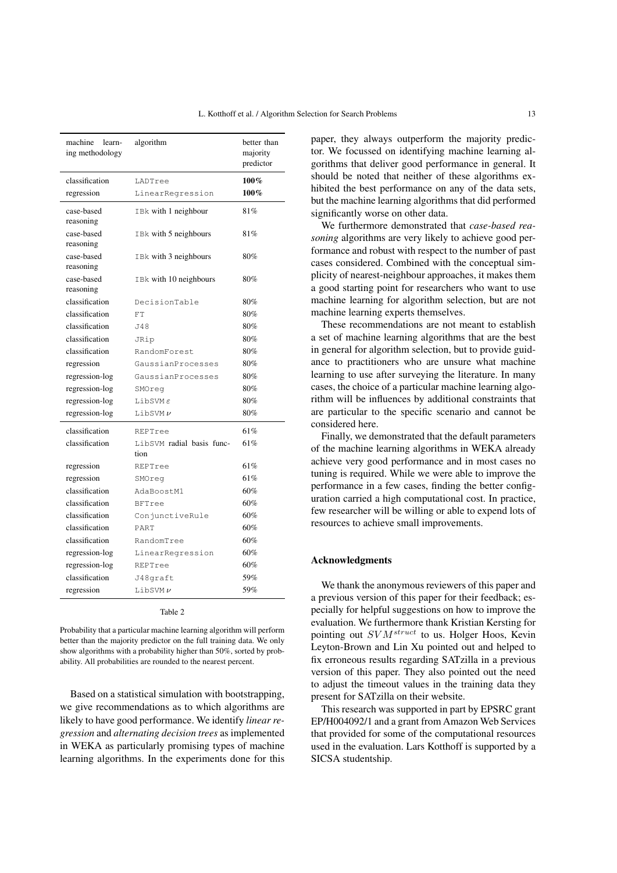| machine<br>learn-<br>ing methodology | algorithm                         | better than<br>majority<br>predictor |  |  |  |  |
|--------------------------------------|-----------------------------------|--------------------------------------|--|--|--|--|
| classification                       | LADTree                           | 100%                                 |  |  |  |  |
| regression                           | LinearRegression                  | $100\%$                              |  |  |  |  |
| case-based                           | IBk with 1 neighbour              | 81%                                  |  |  |  |  |
| reasoning<br>case-based              | IBk with 5 neighbours             | 81%                                  |  |  |  |  |
| reasoning<br>case-based              | IBk with 3 neighbours             | 80%                                  |  |  |  |  |
| reasoning                            |                                   |                                      |  |  |  |  |
| case-based<br>reasoning              | IBk with 10 neighbours            | 80%                                  |  |  |  |  |
| classification                       | DecisionTable                     | 80%                                  |  |  |  |  |
| classification                       | FT                                | 80%                                  |  |  |  |  |
| classification                       | J48                               | 80%                                  |  |  |  |  |
| classification                       | JRip                              | 80%                                  |  |  |  |  |
| classification                       | RandomForest                      | 80%                                  |  |  |  |  |
| regression                           | GaussianProcesses                 | 80%                                  |  |  |  |  |
| regression-log                       | GaussianProcesses                 | 80%                                  |  |  |  |  |
| regression-log                       | SMOreg                            | 80%                                  |  |  |  |  |
| regression-log                       | $LibSVM \varepsilon$              | 80%                                  |  |  |  |  |
| regression-log                       | LibSVM $\nu$                      | 80%                                  |  |  |  |  |
| classification                       | REPTree                           | 61%                                  |  |  |  |  |
| classification                       | LibSVM radial basis func-<br>tion | 61%                                  |  |  |  |  |
| regression                           | REPTree                           | 61%                                  |  |  |  |  |
| regression                           | SMOreg                            | 61%                                  |  |  |  |  |
| classification                       | AdaBoostM1                        | 60%                                  |  |  |  |  |
| classification                       | <b>BFTree</b>                     | 60%                                  |  |  |  |  |
| classification                       | ConjunctiveRule                   | 60%                                  |  |  |  |  |
| classification                       | PART                              | 60%                                  |  |  |  |  |
| classification                       | RandomTree                        | 60%                                  |  |  |  |  |
| regression-log                       | LinearRegression                  | 60%                                  |  |  |  |  |
| regression-log                       | REPTree                           | 60%                                  |  |  |  |  |
| classification                       | J48graft                          | 59%                                  |  |  |  |  |
| regression                           | LibSVM $\nu$                      | 59%                                  |  |  |  |  |
| Table 2                              |                                   |                                      |  |  |  |  |

<span id="page-12-0"></span>Probability that a particular machine learning algorithm will perform better than the majority predictor on the full training data. We only show algorithms with a probability higher than 50%, sorted by probability. All probabilities are rounded to the nearest percent.

Based on a statistical simulation with bootstrapping, we give recommendations as to which algorithms are likely to have good performance. We identify *linear regression* and *alternating decision trees* as implemented in WEKA as particularly promising types of machine learning algorithms. In the experiments done for this

paper, they always outperform the majority predictor. We focussed on identifying machine learning algorithms that deliver good performance in general. It should be noted that neither of these algorithms exhibited the best performance on any of the data sets, but the machine learning algorithms that did performed significantly worse on other data.

We furthermore demonstrated that *case-based reasoning* algorithms are very likely to achieve good performance and robust with respect to the number of past cases considered. Combined with the conceptual simplicity of nearest-neighbour approaches, it makes them a good starting point for researchers who want to use machine learning for algorithm selection, but are not machine learning experts themselves.

These recommendations are not meant to establish a set of machine learning algorithms that are the best in general for algorithm selection, but to provide guidance to practitioners who are unsure what machine learning to use after surveying the literature. In many cases, the choice of a particular machine learning algorithm will be influences by additional constraints that are particular to the specific scenario and cannot be considered here.

Finally, we demonstrated that the default parameters of the machine learning algorithms in WEKA already achieve very good performance and in most cases no tuning is required. While we were able to improve the performance in a few cases, finding the better configuration carried a high computational cost. In practice, few researcher will be willing or able to expend lots of resources to achieve small improvements.

#### Acknowledgments

We thank the anonymous reviewers of this paper and a previous version of this paper for their feedback; especially for helpful suggestions on how to improve the evaluation. We furthermore thank Kristian Kersting for pointing out *SV Mstruct* to us. Holger Hoos, Kevin Leyton-Brown and Lin Xu pointed out and helped to fix erroneous results regarding SATzilla in a previous version of this paper. They also pointed out the need to adjust the timeout values in the training data they present for SATzilla on their website.

This research was supported in part by EPSRC grant EP/H004092/1 and a grant from Amazon Web Services that provided for some of the computational resources used in the evaluation. Lars Kotthoff is supported by a SICSA studentship.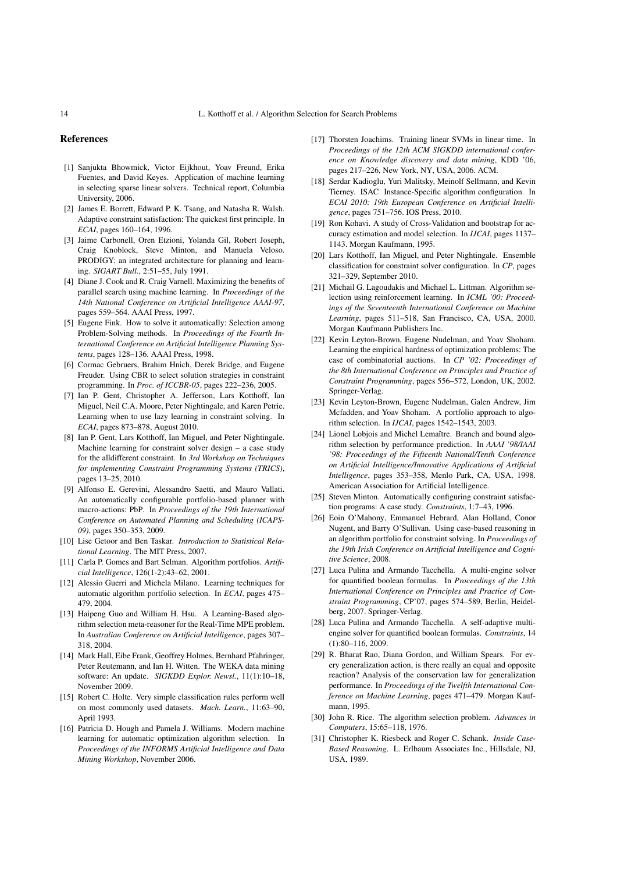#### References

- [1] Sanjukta Bhowmick, Victor Eijkhout, Yoav Freund, Erika Fuentes, and David Keyes. Application of machine learning in selecting sparse linear solvers. Technical report, Columbia University, 2006.
- [2] James E. Borrett, Edward P. K. Tsang, and Natasha R. Walsh. Adaptive constraint satisfaction: The quickest first principle. In *ECAI*, pages 160–164, 1996.
- <span id="page-13-8"></span>[3] Jaime Carbonell, Oren Etzioni, Yolanda Gil, Robert Joseph, Craig Knoblock, Steve Minton, and Manuela Veloso. PRODIGY: an integrated architecture for planning and learning. *SIGART Bull.*, 2:51–55, July 1991.
- <span id="page-13-12"></span>[4] Diane J. Cook and R. Craig Varnell. Maximizing the benefits of parallel search using machine learning. In *Proceedings of the 14th National Conference on Artificial Intelligence AAAI-97*, pages 559–564. AAAI Press, 1997.
- <span id="page-13-3"></span>[5] Eugene Fink. How to solve it automatically: Selection among Problem-Solving methods. In *Proceedings of the Fourth International Conference on Artificial Intelligence Planning Systems*, pages 128–136. AAAI Press, 1998.
- <span id="page-13-15"></span>[6] Cormac Gebruers, Brahim Hnich, Derek Bridge, and Eugene Freuder. Using CBR to select solution strategies in constraint programming. In *Proc. of ICCBR-05*, pages 222–236, 2005.
- <span id="page-13-22"></span>[7] Ian P. Gent, Christopher A. Jefferson, Lars Kotthoff, Ian Miguel, Neil C.A. Moore, Peter Nightingale, and Karen Petrie. Learning when to use lazy learning in constraint solving. In *ECAI*, pages 873–878, August 2010.
- <span id="page-13-17"></span>[8] Ian P. Gent, Lars Kotthoff, Ian Miguel, and Peter Nightingale. Machine learning for constraint solver design – a case study for the alldifferent constraint. In *3rd Workshop on Techniques for implementing Constraint Programming Systems (TRICS)*, pages 13–25, 2010.
- <span id="page-13-20"></span>[9] Alfonso E. Gerevini, Alessandro Saetti, and Mauro Vallati. An automatically configurable portfolio-based planner with macro-actions: PbP. In *Proceedings of the 19th International Conference on Automated Planning and Scheduling (ICAPS-09)*, pages 350–353, 2009.
- <span id="page-13-19"></span>[10] Lise Getoor and Ben Taskar. *Introduction to Statistical Relational Learning*. The MIT Press, 2007.
- <span id="page-13-5"></span>[11] Carla P. Gomes and Bart Selman. Algorithm portfolios. *Artificial Intelligence*, 126(1-2):43–62, 2001.
- [12] Alessio Guerri and Michela Milano. Learning techniques for automatic algorithm portfolio selection. In *ECAI*, pages 475– 479, 2004.
- <span id="page-13-14"></span>[13] Haipeng Guo and William H. Hsu. A Learning-Based algorithm selection meta-reasoner for the Real-Time MPE problem. In *Australian Conference on Artificial Intelligence*, pages 307– 318, 2004.
- [14] Mark Hall, Eibe Frank, Geoffrey Holmes, Bernhard Pfahringer, Peter Reutemann, and Ian H. Witten. The WEKA data mining software: An update. *SIGKDD Explor. Newsl.*, 11(1):10–18, November 2009.
- <span id="page-13-24"></span>[15] Robert C. Holte. Very simple classification rules perform well on most commonly used datasets. *Mach. Learn.*, 11:63–90, April 1993.
- <span id="page-13-16"></span>[16] Patricia D. Hough and Pamela J. Williams. Modern machine learning for automatic optimization algorithm selection. In *Proceedings of the INFORMS Artificial Intelligence and Data Mining Workshop*, November 2006.
- <span id="page-13-21"></span>[17] Thorsten Joachims. Training linear SVMs in linear time. In *Proceedings of the 12th ACM SIGKDD international conference on Knowledge discovery and data mining*, KDD '06, pages 217–226, New York, NY, USA, 2006. ACM.
- <span id="page-13-10"></span>[18] Serdar Kadioglu, Yuri Malitsky, Meinolf Sellmann, and Kevin Tierney. ISAC Instance-Specific algorithm configuration. In *ECAI 2010: 19th European Conference on Artificial Intelligence*, pages 751–756. IOS Press, 2010.
- <span id="page-13-23"></span>[19] Ron Kohavi. A study of Cross-Validation and bootstrap for accuracy estimation and model selection. In *IJCAI*, pages 1137– 1143. Morgan Kaufmann, 1995.
- <span id="page-13-11"></span>[20] Lars Kotthoff, Ian Miguel, and Peter Nightingale. Ensemble classification for constraint solver configuration. In *CP*, pages 321–329, September 2010.
- <span id="page-13-7"></span>[21] Michail G. Lagoudakis and Michael L. Littman. Algorithm selection using reinforcement learning. In *ICML '00: Proceedings of the Seventeenth International Conference on Machine Learning*, pages 511–518, San Francisco, CA, USA, 2000. Morgan Kaufmann Publishers Inc.
- <span id="page-13-13"></span>[22] Kevin Leyton-Brown, Eugene Nudelman, and Yoav Shoham. Learning the empirical hardness of optimization problems: The case of combinatorial auctions. In *CP '02: Proceedings of the 8th International Conference on Principles and Practice of Constraint Programming*, pages 556–572, London, UK, 2002. Springer-Verlag.
- <span id="page-13-6"></span>[23] Kevin Leyton-Brown, Eugene Nudelman, Galen Andrew, Jim Mcfadden, and Yoav Shoham. A portfolio approach to algorithm selection. In *IJCAI*, pages 1542–1543, 2003.
- <span id="page-13-4"></span>[24] Lionel Lobjois and Michel Lemaître. Branch and bound algorithm selection by performance prediction. In *AAAI '98/IAAI '98: Proceedings of the Fifteenth National/Tenth Conference on Artificial Intelligence/Innovative Applications of Artificial Intelligence*, pages 353–358, Menlo Park, CA, USA, 1998. American Association for Artificial Intelligence.
- <span id="page-13-9"></span>[25] Steven Minton. Automatically configuring constraint satisfaction programs: A case study. *Constraints*, 1:7–43, 1996.
- <span id="page-13-1"></span>[26] Eoin O'Mahony, Emmanuel Hebrard, Alan Holland, Conor Nugent, and Barry O'Sullivan. Using case-based reasoning in an algorithm portfolio for constraint solving. In *Proceedings of the 19th Irish Conference on Artificial Intelligence and Cognitive Science*, 2008.
- <span id="page-13-18"></span>[27] Luca Pulina and Armando Tacchella. A multi-engine solver for quantified boolean formulas. In *Proceedings of the 13th International Conference on Principles and Practice of Constraint Programming*, CP'07, pages 574–589, Berlin, Heidelberg, 2007. Springer-Verlag.
- <span id="page-13-2"></span>[28] Luca Pulina and Armando Tacchella. A self-adaptive multiengine solver for quantified boolean formulas. *Constraints*, 14 (1):80–116, 2009.
- <span id="page-13-25"></span>[29] R. Bharat Rao, Diana Gordon, and William Spears. For every generalization action, is there really an equal and opposite reaction? Analysis of the conservation law for generalization performance. In *Proceedings of the Twelfth International Conference on Machine Learning*, pages 471–479. Morgan Kaufmann, 1995.
- <span id="page-13-0"></span>[30] John R. Rice. The algorithm selection problem. *Advances in Computers*, 15:65–118, 1976.
- [31] Christopher K. Riesbeck and Roger C. Schank. *Inside Case-Based Reasoning*. L. Erlbaum Associates Inc., Hillsdale, NJ, USA, 1989.